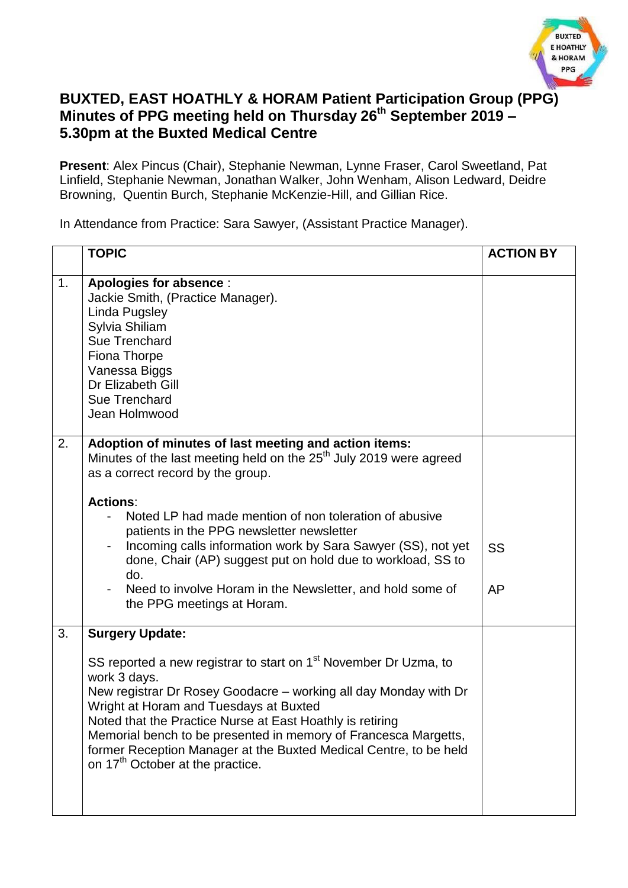

## **BUXTED, EAST HOATHLY & HORAM Patient Participation Group (PPG) Minutes of PPG meeting held on Thursday 26th September 2019 – 5.30pm at the Buxted Medical Centre**

**Present**: Alex Pincus (Chair), Stephanie Newman, Lynne Fraser, Carol Sweetland, Pat Linfield, Stephanie Newman, Jonathan Walker, John Wenham, Alison Ledward, Deidre Browning, Quentin Burch, Stephanie McKenzie-Hill, and Gillian Rice.

In Attendance from Practice: Sara Sawyer, (Assistant Practice Manager).

|    | <b>TOPIC</b>                                                                                                                                                                                                                                                                                                                                                                                                                                                                                                                            | <b>ACTION BY</b> |
|----|-----------------------------------------------------------------------------------------------------------------------------------------------------------------------------------------------------------------------------------------------------------------------------------------------------------------------------------------------------------------------------------------------------------------------------------------------------------------------------------------------------------------------------------------|------------------|
| 1. | <b>Apologies for absence:</b><br>Jackie Smith, (Practice Manager).<br>Linda Pugsley<br>Sylvia Shiliam<br>Sue Trenchard<br>Fiona Thorpe<br>Vanessa Biggs<br>Dr Elizabeth Gill<br>Sue Trenchard<br>Jean Holmwood                                                                                                                                                                                                                                                                                                                          |                  |
| 2. | Adoption of minutes of last meeting and action items:<br>Minutes of the last meeting held on the 25 <sup>th</sup> July 2019 were agreed<br>as a correct record by the group.<br><b>Actions:</b><br>Noted LP had made mention of non toleration of abusive<br>patients in the PPG newsletter newsletter<br>Incoming calls information work by Sara Sawyer (SS), not yet<br>done, Chair (AP) suggest put on hold due to workload, SS to<br>do.<br>Need to involve Horam in the Newsletter, and hold some of<br>the PPG meetings at Horam. | SS<br>AP         |
| 3. | <b>Surgery Update:</b><br>SS reported a new registrar to start on 1 <sup>st</sup> November Dr Uzma, to<br>work 3 days.<br>New registrar Dr Rosey Goodacre - working all day Monday with Dr<br>Wright at Horam and Tuesdays at Buxted<br>Noted that the Practice Nurse at East Hoathly is retiring<br>Memorial bench to be presented in memory of Francesca Margetts,<br>former Reception Manager at the Buxted Medical Centre, to be held<br>on 17 <sup>th</sup> October at the practice.                                               |                  |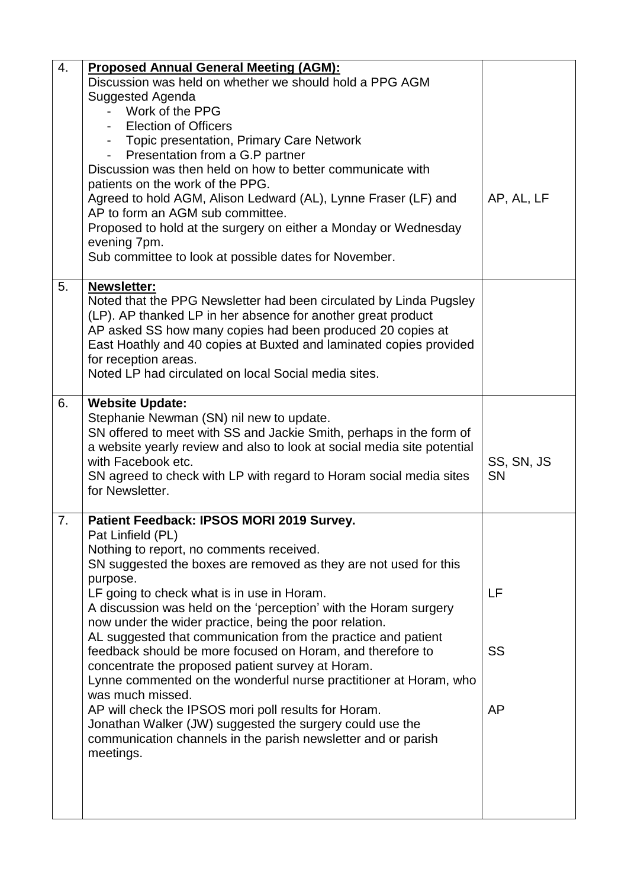| 4. | <b>Proposed Annual General Meeting (AGM):</b>                                         |            |
|----|---------------------------------------------------------------------------------------|------------|
|    | Discussion was held on whether we should hold a PPG AGM                               |            |
|    | Suggested Agenda                                                                      |            |
|    | Work of the PPG                                                                       |            |
|    | <b>Election of Officers</b>                                                           |            |
|    |                                                                                       |            |
|    | - Topic presentation, Primary Care Network                                            |            |
|    | Presentation from a G.P partner                                                       |            |
|    | Discussion was then held on how to better communicate with                            |            |
|    | patients on the work of the PPG.                                                      |            |
|    | Agreed to hold AGM, Alison Ledward (AL), Lynne Fraser (LF) and                        | AP, AL, LF |
|    | AP to form an AGM sub committee.                                                      |            |
|    | Proposed to hold at the surgery on either a Monday or Wednesday                       |            |
|    | evening 7pm.                                                                          |            |
|    | Sub committee to look at possible dates for November.                                 |            |
| 5. | <b>Newsletter:</b>                                                                    |            |
|    | Noted that the PPG Newsletter had been circulated by Linda Pugsley                    |            |
|    | (LP). AP thanked LP in her absence for another great product                          |            |
|    | AP asked SS how many copies had been produced 20 copies at                            |            |
|    | East Hoathly and 40 copies at Buxted and laminated copies provided                    |            |
|    | for reception areas.                                                                  |            |
|    | Noted LP had circulated on local Social media sites.                                  |            |
|    |                                                                                       |            |
| 6. | <b>Website Update:</b>                                                                |            |
|    | Stephanie Newman (SN) nil new to update.                                              |            |
|    | SN offered to meet with SS and Jackie Smith, perhaps in the form of                   |            |
|    | a website yearly review and also to look at social media site potential               |            |
|    | with Facebook etc.                                                                    | SS, SN, JS |
|    | SN agreed to check with LP with regard to Horam social media sites<br>for Newsletter. | <b>SN</b>  |
|    |                                                                                       |            |
| 7. | Patient Feedback: IPSOS MORI 2019 Survey.                                             |            |
|    | Pat Linfield (PL)                                                                     |            |
|    | Nothing to report, no comments received.                                              |            |
|    | SN suggested the boxes are removed as they are not used for this                      |            |
|    | purpose.                                                                              |            |
|    | LF going to check what is in use in Horam.                                            | LF         |
|    | A discussion was held on the 'perception' with the Horam surgery                      |            |
|    | now under the wider practice, being the poor relation.                                |            |
|    | AL suggested that communication from the practice and patient                         |            |
|    | feedback should be more focused on Horam, and therefore to                            | SS         |
|    | concentrate the proposed patient survey at Horam.                                     |            |
|    | Lynne commented on the wonderful nurse practitioner at Horam, who                     |            |
|    | was much missed.                                                                      |            |
|    | AP will check the IPSOS mori poll results for Horam.                                  | AP         |
|    | Jonathan Walker (JW) suggested the surgery could use the                              |            |
|    | communication channels in the parish newsletter and or parish                         |            |
|    | meetings.                                                                             |            |
|    |                                                                                       |            |
|    |                                                                                       |            |
|    |                                                                                       |            |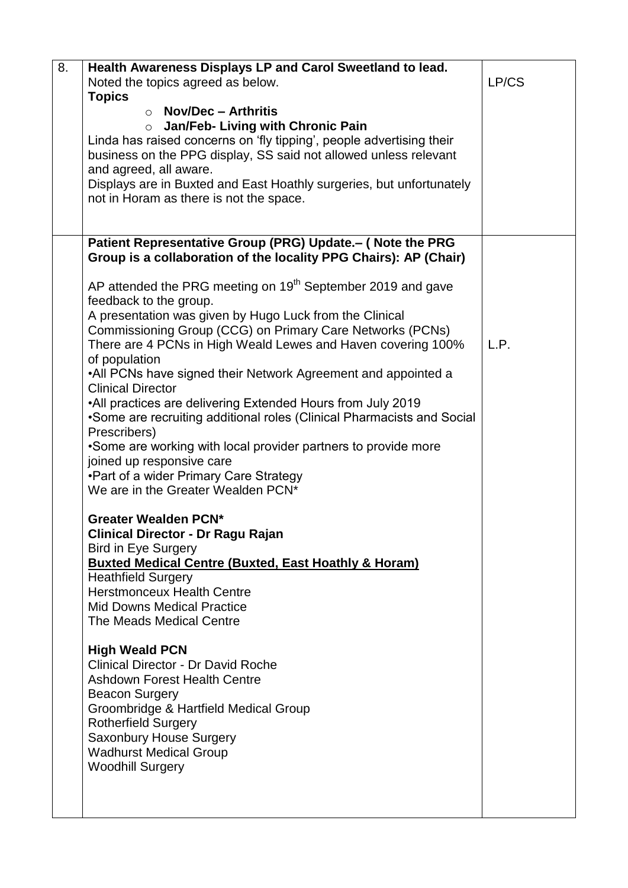| 8. | Health Awareness Displays LP and Carol Sweetland to lead.                    |       |
|----|------------------------------------------------------------------------------|-------|
|    | Noted the topics agreed as below.                                            | LP/CS |
|    | <b>Topics</b>                                                                |       |
|    | <b>Nov/Dec - Arthritis</b><br>$\cap$                                         |       |
|    | Jan/Feb- Living with Chronic Pain<br>$\circ$                                 |       |
|    | Linda has raised concerns on 'fly tipping', people advertising their         |       |
|    | business on the PPG display, SS said not allowed unless relevant             |       |
|    | and agreed, all aware.                                                       |       |
|    | Displays are in Buxted and East Hoathly surgeries, but unfortunately         |       |
|    | not in Horam as there is not the space.                                      |       |
|    |                                                                              |       |
|    | Patient Representative Group (PRG) Update.- ( Note the PRG                   |       |
|    | Group is a collaboration of the locality PPG Chairs): AP (Chair)             |       |
|    |                                                                              |       |
|    | AP attended the PRG meeting on 19 <sup>th</sup> September 2019 and gave      |       |
|    | feedback to the group.                                                       |       |
|    | A presentation was given by Hugo Luck from the Clinical                      |       |
|    | Commissioning Group (CCG) on Primary Care Networks (PCNs)                    |       |
|    | There are 4 PCNs in High Weald Lewes and Haven covering 100%                 | L.P.  |
|    | of population                                                                |       |
|    | •All PCNs have signed their Network Agreement and appointed a                |       |
|    | <b>Clinical Director</b>                                                     |       |
|    | •All practices are delivering Extended Hours from July 2019                  |       |
|    | •Some are recruiting additional roles (Clinical Pharmacists and Social       |       |
|    | Prescribers)                                                                 |       |
|    | . Some are working with local provider partners to provide more              |       |
|    | joined up responsive care                                                    |       |
|    | •Part of a wider Primary Care Strategy<br>We are in the Greater Wealden PCN* |       |
|    |                                                                              |       |
|    | <b>Greater Wealden PCN*</b>                                                  |       |
|    | <b>Clinical Director - Dr Ragu Rajan</b>                                     |       |
|    | <b>Bird in Eye Surgery</b>                                                   |       |
|    | <b>Buxted Medical Centre (Buxted, East Hoathly &amp; Horam)</b>              |       |
|    | <b>Heathfield Surgery</b>                                                    |       |
|    | <b>Herstmonceux Health Centre</b>                                            |       |
|    | <b>Mid Downs Medical Practice</b>                                            |       |
|    | The Meads Medical Centre                                                     |       |
|    |                                                                              |       |
|    | <b>High Weald PCN</b>                                                        |       |
|    | <b>Clinical Director - Dr David Roche</b>                                    |       |
|    | <b>Ashdown Forest Health Centre</b>                                          |       |
|    | <b>Beacon Surgery</b>                                                        |       |
|    | Groombridge & Hartfield Medical Group                                        |       |
|    | <b>Rotherfield Surgery</b>                                                   |       |
|    | <b>Saxonbury House Surgery</b><br><b>Wadhurst Medical Group</b>              |       |
|    | <b>Woodhill Surgery</b>                                                      |       |
|    |                                                                              |       |
|    |                                                                              |       |
|    |                                                                              |       |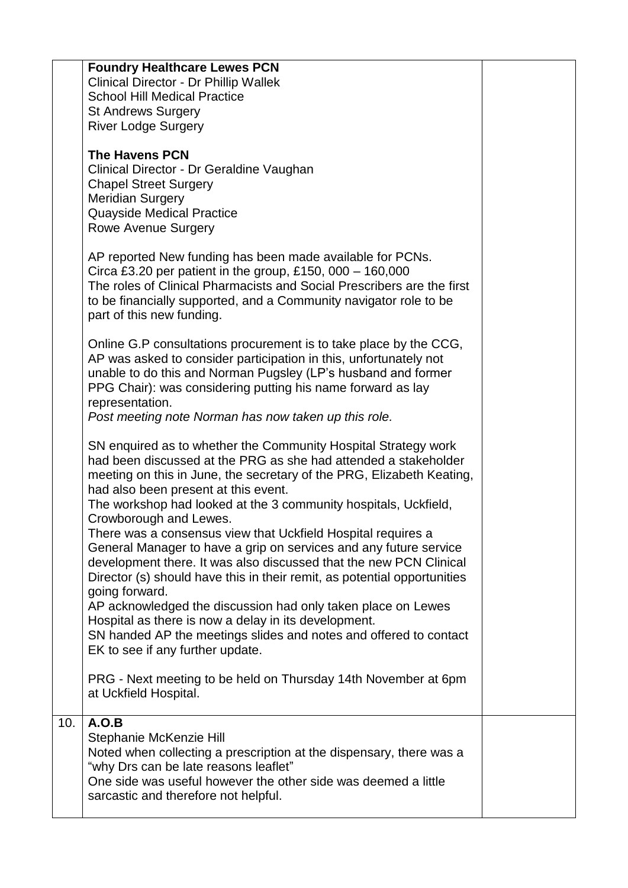|     | <b>Foundry Healthcare Lewes PCN</b><br><b>Clinical Director - Dr Phillip Wallek</b><br><b>School Hill Medical Practice</b><br><b>St Andrews Surgery</b><br><b>River Lodge Surgery</b>                                                                                                                                                                                                                                                                                                                                                                                                                                                                                                                                                                                                                                                                                                     |  |
|-----|-------------------------------------------------------------------------------------------------------------------------------------------------------------------------------------------------------------------------------------------------------------------------------------------------------------------------------------------------------------------------------------------------------------------------------------------------------------------------------------------------------------------------------------------------------------------------------------------------------------------------------------------------------------------------------------------------------------------------------------------------------------------------------------------------------------------------------------------------------------------------------------------|--|
|     | <b>The Havens PCN</b><br>Clinical Director - Dr Geraldine Vaughan<br><b>Chapel Street Surgery</b><br><b>Meridian Surgery</b><br><b>Quayside Medical Practice</b><br><b>Rowe Avenue Surgery</b>                                                                                                                                                                                                                                                                                                                                                                                                                                                                                                                                                                                                                                                                                            |  |
|     | AP reported New funding has been made available for PCNs.<br>Circa £3.20 per patient in the group, £150, 000 - 160,000<br>The roles of Clinical Pharmacists and Social Prescribers are the first<br>to be financially supported, and a Community navigator role to be<br>part of this new funding.                                                                                                                                                                                                                                                                                                                                                                                                                                                                                                                                                                                        |  |
|     | Online G.P consultations procurement is to take place by the CCG,<br>AP was asked to consider participation in this, unfortunately not<br>unable to do this and Norman Pugsley (LP's husband and former<br>PPG Chair): was considering putting his name forward as lay<br>representation.<br>Post meeting note Norman has now taken up this role.                                                                                                                                                                                                                                                                                                                                                                                                                                                                                                                                         |  |
|     | SN enquired as to whether the Community Hospital Strategy work<br>had been discussed at the PRG as she had attended a stakeholder<br>meeting on this in June, the secretary of the PRG, Elizabeth Keating,<br>had also been present at this event.<br>The workshop had looked at the 3 community hospitals, Uckfield,<br>Crowborough and Lewes.<br>There was a consensus view that Uckfield Hospital requires a<br>General Manager to have a grip on services and any future service<br>development there. It was also discussed that the new PCN Clinical<br>Director (s) should have this in their remit, as potential opportunities<br>going forward.<br>AP acknowledged the discussion had only taken place on Lewes<br>Hospital as there is now a delay in its development.<br>SN handed AP the meetings slides and notes and offered to contact<br>EK to see if any further update. |  |
|     | PRG - Next meeting to be held on Thursday 14th November at 6pm<br>at Uckfield Hospital.                                                                                                                                                                                                                                                                                                                                                                                                                                                                                                                                                                                                                                                                                                                                                                                                   |  |
| 10. | A.O.B<br>Stephanie McKenzie Hill<br>Noted when collecting a prescription at the dispensary, there was a<br>"why Drs can be late reasons leaflet"<br>One side was useful however the other side was deemed a little<br>sarcastic and therefore not helpful.                                                                                                                                                                                                                                                                                                                                                                                                                                                                                                                                                                                                                                |  |